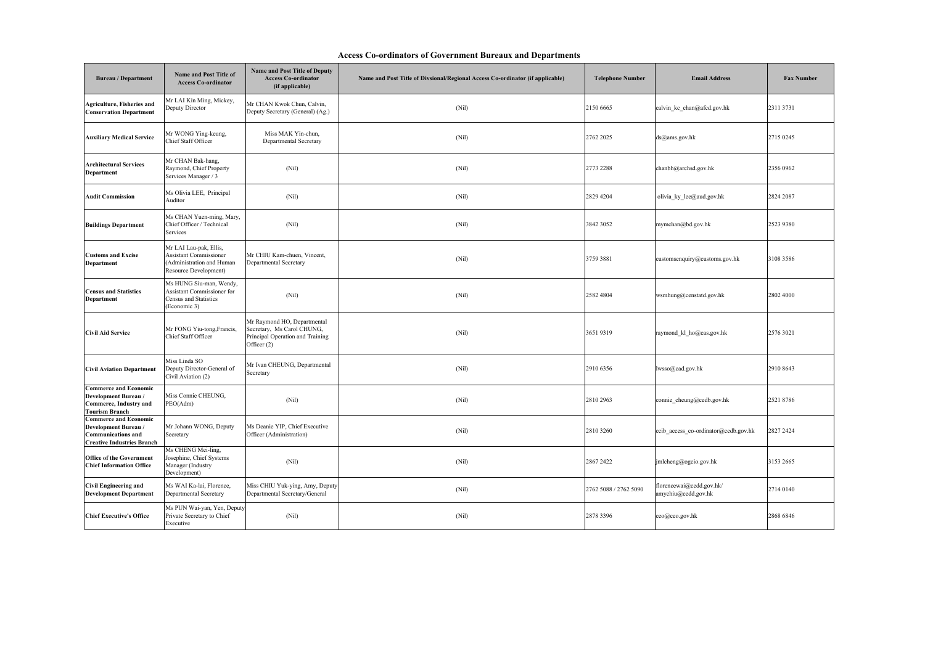| <b>Access Co-ordinators of Government Bureaux and Departments</b> |  |
|-------------------------------------------------------------------|--|
|                                                                   |  |

| <b>Bureau</b> / Department                                                                                             | <b>Name and Post Title of</b><br><b>Access Co-ordinator</b>                                                   | Name and Post Title of Deputy<br><b>Access Co-ordinator</b><br>(if applicable)                               | Name and Post Title of Divsional/Regional Access Co-ordinator (if applicable) | <b>Telephone Number</b> | <b>Email Address</b>                            | <b>Fax Number</b> |
|------------------------------------------------------------------------------------------------------------------------|---------------------------------------------------------------------------------------------------------------|--------------------------------------------------------------------------------------------------------------|-------------------------------------------------------------------------------|-------------------------|-------------------------------------------------|-------------------|
| <b>Agriculture, Fisheries and</b><br><b>Conservation Department</b>                                                    | Mr LAI Kin Ming, Mickey,<br>Deputy Director                                                                   | Mr CHAN Kwok Chun, Calvin,<br>Deputy Secretary (General) (Ag.)                                               | (Nil)                                                                         | 2150 6665               | calvin kc chan@afcd.gov.hk                      | 2311 3731         |
| <b>Auxiliary Medical Service</b>                                                                                       | Mr WONG Ying-keung,<br>Chief Staff Officer                                                                    | Miss MAK Yin-chun,<br>Departmental Secretary                                                                 | (Nil)                                                                         | 2762 2025               | ds@ams.gov.hk                                   | 2715 0245         |
| <b>Architectural Services</b><br>Department                                                                            | Mr CHAN Bak-hang,<br>Raymond, Chief Property<br>Services Manager / 3                                          | (Nil)                                                                                                        | (Nil)                                                                         | 2773 2288               | chanbh@archsd.gov.hk                            | 2356 0962         |
| <b>Audit Commission</b>                                                                                                | Ms Olivia LEE, Principal<br>Auditor                                                                           | (Nil)                                                                                                        | (Nil)                                                                         | 2829 4204               | olivia ky lee@aud.gov.hk                        | 2824 2087         |
| <b>Buildings Department</b>                                                                                            | Ms CHAN Yuen-ming, Mary,<br>Chief Officer / Technical<br>Services                                             | (Nil)                                                                                                        | (Nil)                                                                         | 3842 3052               | mymchan@bd.gov.hk                               | 2523 9380         |
| <b>Customs and Excise</b><br>Department                                                                                | Mr LAI Lau-pak, Ellis,<br><b>Assistant Commissioner</b><br>(Administration and Human<br>Resource Development) | Mr CHIU Kam-chuen, Vincent,<br>Departmental Secretary                                                        | (Nil)                                                                         | 3759 3881               | customsenquiry@customs.gov.hk                   | 3108 3586         |
| <b>Census and Statistics</b><br>Department                                                                             | Ms HUNG Siu-man, Wendy,<br>Assistant Commissioner for<br>Census and Statistics<br>(Economic 3)                | (Nil)                                                                                                        | (Nil)                                                                         | 2582 4804               | wsmhung@censtatd.gov.hk                         | 2802 4000         |
| <b>Civil Aid Service</b>                                                                                               | Mr FONG Yiu-tong, Francis,<br>Chief Staff Officer                                                             | Mr Raymond HO, Departmental<br>Secretary, Ms Carol CHUNG,<br>Principal Operation and Training<br>Officer (2) | (Nil)                                                                         | 36519319                | raymond_kl_ho@cas.gov.hk                        | 2576 3021         |
| <b>Civil Aviation Department</b>                                                                                       | Miss Linda SO<br>Deputy Director-General of<br>Civil Aviation (2)                                             | Mr Ivan CHEUNG, Departmental<br>Secretary                                                                    | (Nil)                                                                         | 2910 6356               | lwsso@cad.gov.hk                                | 2910 8643         |
| <b>Commerce and Economic</b><br>Development Bureau /<br>Commerce, Industry and<br><b>Tourism Branch</b>                | Miss Connie CHEUNG,<br>PEO(Adm)                                                                               | (Nil)                                                                                                        | (Nil)                                                                         | 2810 2963               | connie cheung@cedb.gov.hk                       | 25218786          |
| <b>Commerce and Economic</b><br>Development Bureau /<br><b>Communications and</b><br><b>Creative Industries Branch</b> | Mr Johann WONG, Deputy<br>Secretary                                                                           | Ms Deanie YIP, Chief Executive<br>Officer (Administration)                                                   | (Nil)                                                                         | 2810 3260               | ccib access co-ordinator@cedb.gov.hk            | 2827 2424         |
| <b>Office of the Government</b><br><b>Chief Information Office</b>                                                     | Ms CHENG Mei-ling,<br>Josephine, Chief Systems<br>Manager (Industry<br>Development)                           | (Nil)                                                                                                        | (Nil)                                                                         | 2867 2422               | jmlcheng@ogcio.gov.hk                           | 3153 2665         |
| <b>Civil Engineering and</b><br><b>Development Department</b>                                                          | Ms WAI Ka-lai, Florence,<br><b>Departmental Secretary</b>                                                     | Miss CHIU Yuk-ying, Amy, Deputy<br>Departmental Secretary/General                                            | (Nil)                                                                         | 2762 5088 / 2762 5090   | florencewai@cedd.gov.hk/<br>amychiu@cedd.gov.hk | 2714 0140         |
| <b>Chief Executive's Office</b>                                                                                        | Ms PUN Wai-yan, Yen, Deputy<br>Private Secretary to Chief<br>Executive                                        | (Nil)                                                                                                        | (Nil)                                                                         | 2878 3396               | ceo@ceo.gov.hk                                  | 2868 6846         |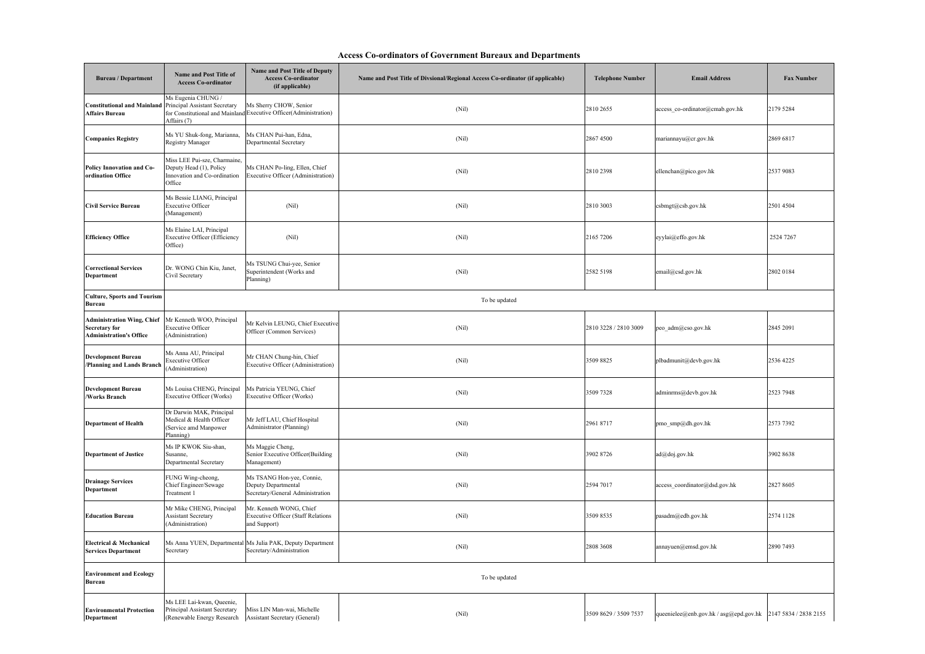## **Access Co-ordinators of Government Bureaux and Departments**

| <b>Bureau / Department</b>                                                           | <b>Name and Post Title of</b><br><b>Access Co-ordinator</b>                                                            | <b>Name and Post Title of Deputy</b><br><b>Access Co-ordinator</b><br>(if applicable)       | Name and Post Title of Divsional/Regional Access Co-ordinator (if applicable) | <b>Telephone Number</b> | <b>Email Address</b>                                         | <b>Fax Number</b> |
|--------------------------------------------------------------------------------------|------------------------------------------------------------------------------------------------------------------------|---------------------------------------------------------------------------------------------|-------------------------------------------------------------------------------|-------------------------|--------------------------------------------------------------|-------------------|
| Constitutional and Mainland<br><b>Affairs Bureau</b>                                 | Ms Eugenia CHUNG /<br>Principal Assistant Secretary<br>Affairs (7)                                                     | Ms Sherry CHOW, Senior<br>for Constitutional and Mainland Executive Officer(Administration) | (Nil)                                                                         | 2810 2655               | access co-ordinator@cmab.gov.hk                              | 2179 5284         |
| <b>Companies Registry</b>                                                            | Ms YU Shuk-fong, Marianna,<br><b>Registry Manager</b>                                                                  | Ms CHAN Pui-han, Edna,<br><b>Departmental Secretary</b>                                     | (Nil)                                                                         | 28674500                | mariannayu@cr.gov.hk                                         | 2869 6817         |
| Policy Innovation and Co-<br>ordination Office                                       | Miss LEE Pui-sze, Charmaine,<br>Deputy Head (1), Policy<br>Innovation and Co-ordination<br>Office                      | Ms CHAN Po-ling, Ellen, Chief<br>Executive Officer (Administration)                         | (Nil)                                                                         | 2810 2398               | ellenchan@pico.gov.hk                                        | 2537 9083         |
| Civil Service Bureau                                                                 | Ms Bessie LIANG, Principal<br><b>Executive Officer</b><br>(Management)                                                 | (Nil)                                                                                       | (Nil)                                                                         | 2810 3003               | csbmgt@csb.gov.hk                                            | 2501 4504         |
| <b>Efficiency Office</b>                                                             | Ms Elaine LAI, Principal<br>Executive Officer (Efficiency<br>Office)                                                   | (Nil)                                                                                       | (Nil)                                                                         | 2165 7206               | eyylai@effo.gov.hk                                           | 2524 7267         |
| <b>Correctional Services</b><br>Department                                           | Dr. WONG Chin Kiu, Janet,<br>Civil Secretary                                                                           | Ms TSUNG Chui-yee, Senior<br>Superintendent (Works and<br>Planning)                         | (Nil)                                                                         | 2582 5198               | email@csd.gov.hk                                             | 2802 0184         |
| <b>Culture, Sports and Tourism</b><br>Bureau                                         |                                                                                                                        |                                                                                             | To be updated                                                                 |                         |                                                              |                   |
| <b>Administration Wing, Chief</b><br>Secretary for<br><b>Administration's Office</b> | Mr Kenneth WOO, Principal<br><b>Executive Officer</b><br>(Administration)                                              | Mr Kelvin LEUNG, Chief Executive<br>Officer (Common Services)                               | (Nil)                                                                         | 2810 3228 / 2810 3009   | peo_adm@cso.gov.hk                                           | 2845 2091         |
| Development Bureau<br>Planning and Lands Branch                                      | Ms Anna AU, Principal<br>Executive Officer<br>Administration)                                                          | Mr CHAN Chung-hin, Chief<br>Executive Officer (Administration)                              | (Nil)                                                                         | 3509 8825               | plbadmunit@devb.gov.hk                                       | 2536 4225         |
| Development Bureau<br><b>Works Branch</b>                                            | Ms Louisa CHENG, Principal<br>Executive Officer (Works)                                                                | Ms Patricia YEUNG, Chief<br>Executive Officer (Works)                                       | (Nil)                                                                         | 3509 7328               | adminrms@devb.gov.hk                                         | 2523 7948         |
| <b>Department of Health</b>                                                          | Dr Darwin MAK, Principal<br>Medical & Health Officer<br>(Service amd Manpower<br>Planning)                             | Mr Jeff LAU, Chief Hospital<br>Administrator (Planning)                                     | (Nil)                                                                         | 2961 8717               | pmo_smp@dh.gov.hk                                            | 2573 7392         |
| <b>Department of Justice</b>                                                         | Ms IP KWOK Siu-shan,<br>Susanne,<br>Departmental Secretary                                                             | Ms Maggie Cheng,<br>Senior Executive Officer(Building<br>Management)                        | (Nil)                                                                         | 3902 8726               | ad@doj.gov.hk                                                | 3902 8638         |
| <b>Drainage Services</b><br>Department                                               | FUNG Wing-cheong,<br>Chief Engineer/Sewage<br>Treatment 1                                                              | Ms TSANG Hon-yee, Connie,<br>Deputy Departmental<br>Secretary/General Administration        | (Nil)                                                                         | 2594 7017               | access_coordinator@dsd.gov.hk                                | 2827 8605         |
| <b>Education Bureau</b>                                                              | Mr Mike CHENG, Principal<br><b>Assistant Secretary</b><br>Administration)                                              | Mr. Kenneth WONG, Chief<br><b>Executive Officer (Staff Relations</b><br>and Support)        | (Nil)                                                                         | 3509 8535               | pasadm@edb.gov.hk                                            | 2574 1128         |
| Electrical & Mechanical<br><b>Services Department</b>                                | Secretary                                                                                                              | Ms Anna YUEN, Departmental Ms Julia PAK, Deputy Department<br>Secretary/Administration      | (Nil)                                                                         | 2808 3608               | annayuen@emsd.gov.hk                                         | 2890 7493         |
| <b>Environment and Ecology</b><br>Bureau                                             |                                                                                                                        |                                                                                             | To be updated                                                                 |                         |                                                              |                   |
| <b>Environmental Protection</b><br>Denartment                                        | Ms LEE Lai-kwan, Queenie,<br>Principal Assistant Secretary<br>(Renewable Energy Research Assistant Secretary (General) | Miss LIN Man-wai, Michelle                                                                  | (Nil)                                                                         | 3509 8629 / 3509 7537   | queenielee@enb.gov.hk / asg@epd.gov.hk 2147 5834 / 2838 2155 |                   |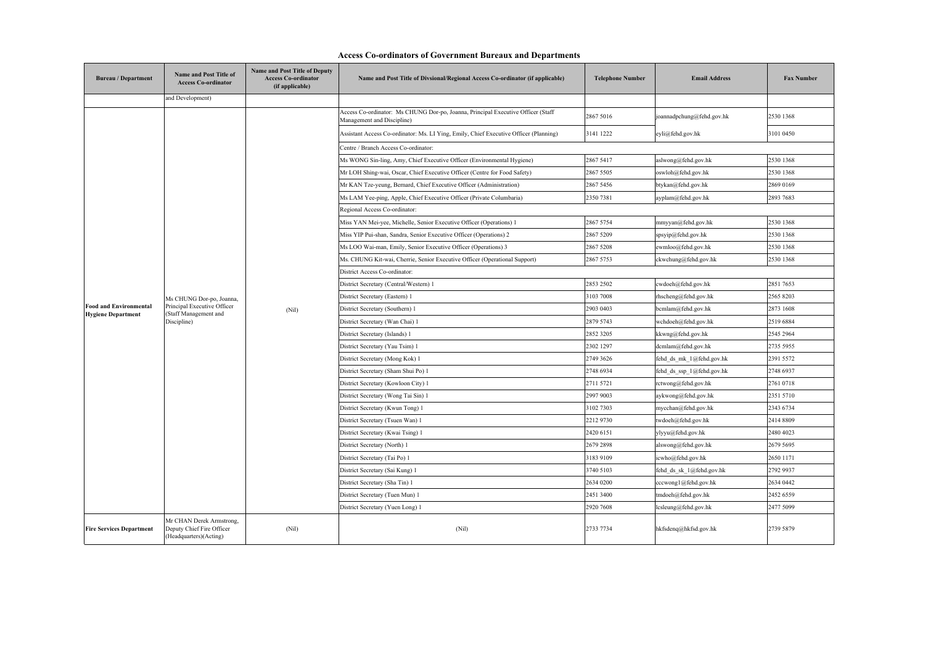| <b>Access Co-ordinators of Government Bureaux and Departments</b> |  |
|-------------------------------------------------------------------|--|
|                                                                   |  |

| <b>Bureau</b> / Department                                 | Name and Post Title of<br><b>Access Co-ordinator</b>                                            | <b>Name and Post Title of Deputy</b><br><b>Access Co-ordinator</b><br>(if applicable) | Name and Post Title of Divsional/Regional Access Co-ordinator (if applicable)                                  | <b>Telephone Number</b> | <b>Email Address</b>      | <b>Fax Number</b> |
|------------------------------------------------------------|-------------------------------------------------------------------------------------------------|---------------------------------------------------------------------------------------|----------------------------------------------------------------------------------------------------------------|-------------------------|---------------------------|-------------------|
|                                                            | and Development)                                                                                |                                                                                       |                                                                                                                |                         |                           |                   |
|                                                            |                                                                                                 |                                                                                       | Access Co-ordinator: Ms CHUNG Dor-po, Joanna, Principal Executive Officer (Staff<br>Management and Discipline) | 2867 5016               | joannadpchung@fehd.gov.hk | 2530 1368         |
|                                                            |                                                                                                 |                                                                                       | Assistant Access Co-ordinator: Ms. LI Ying, Emily, Chief Executive Officer (Planning)                          | 3141 1222               | eyli@fehd.gov.hk          | 3101 0450         |
|                                                            |                                                                                                 |                                                                                       | Centre / Branch Access Co-ordinator:                                                                           |                         |                           |                   |
|                                                            |                                                                                                 |                                                                                       | Ms WONG Sin-ling, Amy, Chief Executive Officer (Environmental Hygiene)                                         | 2867 5417               | aslwong@fehd.gov.hk       | 2530 1368         |
|                                                            |                                                                                                 |                                                                                       | Mr LOH Shing-wai, Oscar, Chief Executive Officer (Centre for Food Safety)                                      | 2867 5505               | oswloh@fehd.gov.hk        | 2530 1368         |
|                                                            |                                                                                                 |                                                                                       | Mr KAN Tze-yeung, Bernard, Chief Executive Officer (Administration)                                            | 2867 5456               | btykan@fehd.gov.hk        | 2869 0169         |
|                                                            |                                                                                                 |                                                                                       | Ms LAM Yee-ping, Apple, Chief Executive Officer (Private Columbaria)                                           | 2350 7381               | ayplam@fehd.gov.hk        | 2893 7683         |
|                                                            |                                                                                                 |                                                                                       | Regional Access Co-ordinator:                                                                                  |                         |                           |                   |
|                                                            |                                                                                                 |                                                                                       | Miss YAN Mei-yee, Michelle, Senior Executive Officer (Operations) 1                                            | 2867 5754               | mmyyan@fehd.gov.hk        | 2530 1368         |
|                                                            |                                                                                                 |                                                                                       | Miss YIP Pui-shan, Sandra, Senior Executive Officer (Operations) 2                                             | 2867 5209               | spsyip@fehd.gov.hk        | 2530 1368         |
|                                                            |                                                                                                 |                                                                                       | Ms LOO Wai-man, Emily, Senior Executive Officer (Operations) 3                                                 | 2867 5208               | ewmloo@fehd.gov.hk        | 2530 1368         |
|                                                            |                                                                                                 |                                                                                       | Ms. CHUNG Kit-wai, Cherrie, Senior Executive Officer (Operational Support)                                     | 2867 5753               | ckwchung@fehd.gov.hk      | 2530 1368         |
|                                                            | Ms CHUNG Dor-po, Joanna,<br>Principal Executive Officer<br>(Staff Management and<br>Discipline) | (Nil)                                                                                 | District Access Co-ordinator:                                                                                  |                         |                           |                   |
|                                                            |                                                                                                 |                                                                                       | District Secretary (Central/Western) 1                                                                         | 2853 2502               | cwdoeh@fehd.gov.hk        | 2851 7653         |
|                                                            |                                                                                                 |                                                                                       | District Secretary (Eastern) 1                                                                                 | 3103 7008               | rhscheng@fehd.gov.hk      | 2565 8203         |
| <b>Food and Environmental</b><br><b>Hygiene Department</b> |                                                                                                 |                                                                                       | District Secretary (Southern) 1                                                                                | 2903 0403               | bcmlam@fehd.gov.hk        | 2873 1608         |
|                                                            |                                                                                                 |                                                                                       | District Secretary (Wan Chai) 1                                                                                | 2879 5743               | wchdoeh@fehd.gov.hk       | 2519 6884         |
|                                                            |                                                                                                 |                                                                                       | District Secretary (Islands) 1                                                                                 | 2852 3205               | kkwng@fehd.gov.hk         | 2545 2964         |
|                                                            |                                                                                                 |                                                                                       | District Secretary (Yau Tsim) 1                                                                                | 2302 1297               | dcmlam@fehd.gov.hk        | 2735 5955         |
|                                                            |                                                                                                 |                                                                                       | District Secretary (Mong Kok) 1                                                                                | 2749 3626               | fehd_ds_mk_1@fehd.gov.hk  | 2391 5572         |
|                                                            |                                                                                                 |                                                                                       | District Secretary (Sham Shui Po) 1                                                                            | 2748 6934               | fehd_ds_ssp_1@fehd.gov.hk | 2748 6937         |
|                                                            |                                                                                                 |                                                                                       | District Secretary (Kowloon City) 1                                                                            | 2711 5721               | rctwong@fehd.gov.hk       | 2761 0718         |
|                                                            |                                                                                                 |                                                                                       | District Secretary (Wong Tai Sin) 1                                                                            | 2997 9003               | aykwong@fehd.gov.hk       | 2351 5710         |
|                                                            |                                                                                                 |                                                                                       | District Secretary (Kwun Tong) 1                                                                               | 3102 7303               | mycchan@fehd.gov.hk       | 2343 6734         |
|                                                            |                                                                                                 |                                                                                       | District Secretary (Tsuen Wan) 1                                                                               | 2212 9730               | twdoeh@fehd.gov.hk        | 2414 8809         |
|                                                            |                                                                                                 |                                                                                       | District Secretary (Kwai Tsing) 1                                                                              | 2420 6151               | ylyyu@fehd.gov.hk         | 2480 4023         |
|                                                            |                                                                                                 |                                                                                       | District Secretary (North) 1                                                                                   | 2679 2898               | alswong@fehd.gov.hk       | 2679 5695         |
|                                                            |                                                                                                 |                                                                                       | District Secretary (Tai Po) 1                                                                                  | 3183 9109               | icwho@fehd.gov.hk         | 2650 1171         |
|                                                            |                                                                                                 |                                                                                       | District Secretary (Sai Kung) 1                                                                                | 3740 5103               | fehd ds sk 1@fehd.gov.hk  | 2792 9937         |
|                                                            |                                                                                                 |                                                                                       | District Secretary (Sha Tin) 1                                                                                 | 2634 0200               | cccwong1@fehd.gov.hk      | 2634 0442         |
|                                                            |                                                                                                 |                                                                                       | District Secretary (Tuen Mun) 1                                                                                | 2451 3400               | tmdoeh@fehd.gov.hk        | 2452 6559         |
|                                                            |                                                                                                 |                                                                                       | District Secretary (Yuen Long) 1                                                                               | 2920 7608               | lcsleung@fehd.gov.hk      | 2477 5099         |
| <b>Fire Services Department</b>                            | Mr CHAN Derek Armstrong,<br>Deputy Chief Fire Officer<br>(Headquarters)(Acting)                 | (Nil)                                                                                 | (Nil)                                                                                                          | 2733 7734               | hkfsdenq@hkfsd.gov.hk     | 2739 5879         |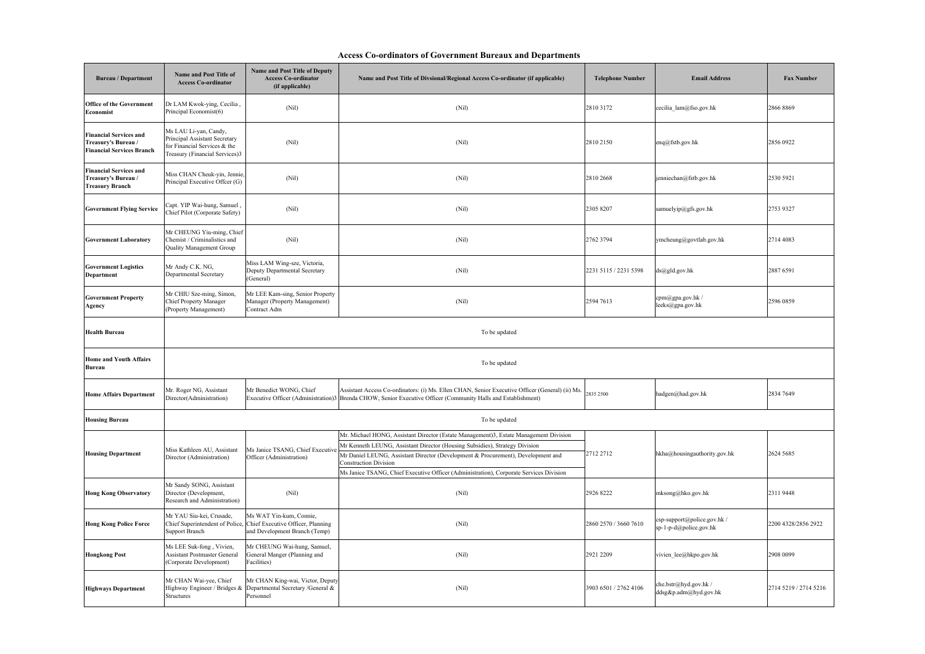| <b>Access Co-ordinators of Government Bureaux and Departments</b> |  |
|-------------------------------------------------------------------|--|
|                                                                   |  |

| <b>Bureau</b> / Department                                                               | Name and Post Title of<br><b>Access Co-ordinator</b>                                                                     | <b>Name and Post Title of Deputy</b><br><b>Access Co-ordinator</b><br>(if applicable)         | Name and Post Title of Divsional/Regional Access Co-ordinator (if applicable)                                                                                                                                    | <b>Telephone Number</b> | <b>Email Address</b>                                  | <b>Fax Number</b>     |
|------------------------------------------------------------------------------------------|--------------------------------------------------------------------------------------------------------------------------|-----------------------------------------------------------------------------------------------|------------------------------------------------------------------------------------------------------------------------------------------------------------------------------------------------------------------|-------------------------|-------------------------------------------------------|-----------------------|
| <b>Office of the Government</b><br>Economist                                             | Dr LAM Kwok-ying, Cecilia,<br>Principal Economist(6)                                                                     | (Nil)                                                                                         | (Nil)                                                                                                                                                                                                            | 28103172                | cecilia lam@fso.gov.hk                                | 2866 8869             |
| <b>Financial Services and</b><br>Treasury's Bureau /<br><b>Financial Services Branch</b> | Ms LAU Li-yan, Candy,<br>Principal Assistant Secretary<br>for Financial Services & the<br>Treasury (Financial Services)3 | (Nil)                                                                                         | (Nil)                                                                                                                                                                                                            | 2810 2150               | enq@fstb.gov.hk                                       | 2856 0922             |
| <b>Financial Services and</b><br>Treasury's Bureau /<br><b>Treasury Branch</b>           | Miss CHAN Cheuk-yin, Jennie,<br>Principal Executive Offcer (G)                                                           | (Nil)                                                                                         | (Nil)                                                                                                                                                                                                            | 2810 2668               | jenniechan@fstb.gov.hk                                | 2530 5921             |
| <b>Government Flying Service</b>                                                         | , Capt. YIP Wai-hung, Samuel<br>Chief Pilot (Corporate Safety)                                                           | (Nil)                                                                                         | (Nil)                                                                                                                                                                                                            | 2305 8207               | samuelyip@gfs.gov.hk                                  | 2753 9327             |
| <b>Government Laboratory</b>                                                             | Mr CHEUNG Yiu-ming, Chief<br>Chemist / Criminalistics and<br>Quality Management Group                                    | (Nil)                                                                                         | (Nil)                                                                                                                                                                                                            | 2762 3794               | ymcheung@govtlab.gov.hk                               | 2714 4083             |
| <b>Government Logistics</b><br>Department                                                | Mr Andy C.K. NG,<br>Departmental Secretary                                                                               | Miss LAM Wing-sze, Victoria,<br>Deputy Departmental Secretary<br>(General)                    | (Nil)                                                                                                                                                                                                            | 2231 5115 / 2231 5398   | ds@gld.gov.hk                                         | 2887 6591             |
| <b>Government Property</b><br>Agency                                                     | Mr CHIU Sze-ming, Simon,<br><b>Chief Property Manager</b><br>(Property Management)                                       | Mr LEE Kam-sing, Senior Property<br>Manager (Property Management)<br>Contract Adm             | (Nil)                                                                                                                                                                                                            | 2594 7613               | cpm@gpa.gov.hk /<br>leeks@gpa.gov.hk                  | 2596 0859             |
| <b>Health Bureau</b>                                                                     |                                                                                                                          |                                                                                               | To be updated                                                                                                                                                                                                    |                         |                                                       |                       |
| <b>Home and Youth Affairs</b><br>Bureau                                                  |                                                                                                                          |                                                                                               | To be updated                                                                                                                                                                                                    |                         |                                                       |                       |
| <b>Home Affairs Department</b>                                                           | Mr. Roger NG, Assistant<br>Director(Administration)                                                                      | Mr Benedict WONG, Chief                                                                       | Assistant Access Co-ordinators: (i) Ms. Ellen CHAN, Senior Executive Officer (General) (ii) Ms.<br>Executive Officer (Administration)3 Brenda CHOW, Senior Executive Officer (Community Halls and Establishment) | 2835 2500               | hadgen@had.gov.hk                                     | 2834 7649             |
| <b>Housing Bureau</b>                                                                    |                                                                                                                          |                                                                                               | To be updated                                                                                                                                                                                                    |                         |                                                       |                       |
|                                                                                          |                                                                                                                          |                                                                                               | Mr. Michael HONG, Assistant Director (Estate Management)3, Estate Management Division                                                                                                                            |                         |                                                       |                       |
| <b>Housing Department</b>                                                                | Miss Kathleen AU, Assistant                                                                                              | Ms Janice TSANG, Chief Executive                                                              | Mr Kenneth LEUNG, Assistant Director (Housing Subsidies), Strategy Division                                                                                                                                      | 2712 2712               |                                                       |                       |
|                                                                                          | Director (Administration)                                                                                                | Officer (Administration)                                                                      | Mr Daniel LEUNG, Assistant Director (Development & Procurement), Development and<br><b>Construction Division</b>                                                                                                 |                         | hkha@housingauthority.gov.hk                          | 2624 5685             |
|                                                                                          |                                                                                                                          |                                                                                               | Ms Janice TSANG, Chief Executive Officer (Administration), Corporate Services Division                                                                                                                           |                         |                                                       |                       |
| <b>Hong Kong Observatory</b>                                                             | Mr Sandy SONG, Assistant<br>Director (Development,<br>Research and Administration)                                       | (Nil)                                                                                         | (Nil)                                                                                                                                                                                                            | 2926 8222               | mksong@hko.gov.hk                                     | 23119448              |
| <b>Hong Kong Police Force</b>                                                            | Mr YAU Siu-kei, Crusade,<br>Chief Superintendent of Police,<br>Support Branch                                            | Ms WAT Yin-kum, Connie,<br>Chief Executive Officer, Planning<br>and Development Branch (Temp) | (Nil)                                                                                                                                                                                                            | 2860 2570 / 3660 7610   | csp-support@police.gov.hk /<br>sp-1-p-d@police.gov.hk | 2200 4328/2856 2922   |
| <b>Hongkong Post</b>                                                                     | Ms LEE Suk-fong, Vivien,<br><b>Assistant Postmaster General</b><br>Corporate Development)                                | Mr CHEUNG Wai-hung, Samuel,<br>General Manger (Planning and<br>acilities)                     | (Nil)                                                                                                                                                                                                            | 2921 2209               | vivien_lee@hkpo.gov.hk                                | 2908 0099             |
| <b>Highways Department</b>                                                               | Mr CHAN Wai-yee, Chief<br>Highway Engineer / Bridges &<br>Structures                                                     | Mr CHAN King-wai, Victor, Deputy<br>Departmental Secretary /General &<br>Personnel            | (Nil)                                                                                                                                                                                                            | 3903 6501 / 2762 4106   | che.bstr@hyd.gov.hk/<br>ddsg&p.adm@hyd.gov.hk         | 2714 5219 / 2714 5216 |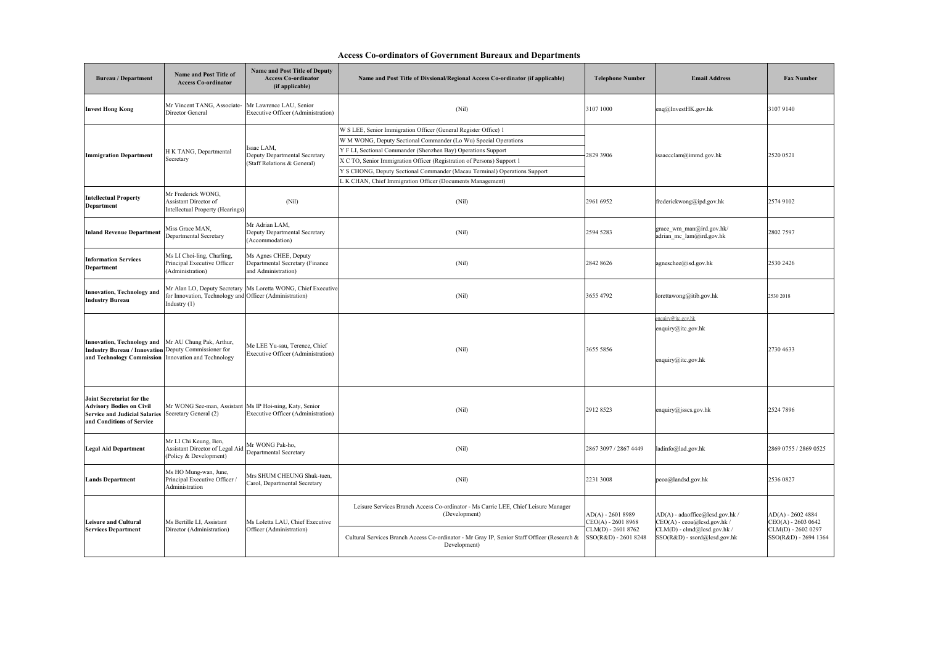## **Access Co-ordinators of Government Bureaux and Departments**

| <b>Bureau / Department</b>                                                                                                                                         | Name and Post Title of<br><b>Access Co-ordinator</b>                               | <b>Name and Post Title of Deputy</b><br><b>Access Co-ordinator</b><br>(if applicable) | Name and Post Title of Divsional/Regional Access Co-ordinator (if applicable)                                                                                                                                                                                                                                                                                                                                            | <b>Telephone Number</b>                                                                | <b>Email Address</b>                                                                                                            | <b>Fax Number</b>                                                                      |
|--------------------------------------------------------------------------------------------------------------------------------------------------------------------|------------------------------------------------------------------------------------|---------------------------------------------------------------------------------------|--------------------------------------------------------------------------------------------------------------------------------------------------------------------------------------------------------------------------------------------------------------------------------------------------------------------------------------------------------------------------------------------------------------------------|----------------------------------------------------------------------------------------|---------------------------------------------------------------------------------------------------------------------------------|----------------------------------------------------------------------------------------|
| <b>Invest Hong Kong</b>                                                                                                                                            | Mr Vincent TANG, Associate-<br>Director General                                    | Mr Lawrence LAU, Senior<br>Executive Officer (Administration)                         | (Nil)                                                                                                                                                                                                                                                                                                                                                                                                                    | 3107 1000                                                                              | enq@InvestHK.gov.hk                                                                                                             | 3107 9140                                                                              |
| <b>Immigration Department</b>                                                                                                                                      | H K TANG, Departmental<br>Secretary                                                | saac LAM,<br>Deputy Departmental Secretary<br>(Staff Relations & General)             | W S LEE, Senior Immigration Officer (General Register Office) 1<br>W M WONG, Deputy Sectional Commander (Lo Wu) Special Operations<br>Y F LI, Sectional Commander (Shenzhen Bay) Operations Support<br>X C TO, Senior Immigration Officer (Registration of Persons) Support 1<br>Y S CHONG, Deputy Sectional Commander (Macau Terminal) Operations Support<br>L K CHAN, Chief Immigration Officer (Documents Management) | 2829 3906                                                                              | isaaccclam@immd.gov.hk                                                                                                          | 2520 0521                                                                              |
| <b>Intellectual Property</b><br>Department                                                                                                                         | Mr Frederick WONG,<br>Assistant Director of<br>Intellectual Property (Hearings)    | (Nil)                                                                                 | (Nil)                                                                                                                                                                                                                                                                                                                                                                                                                    | 2961 6952                                                                              | frederickwong@ipd.gov.hk                                                                                                        | 2574 9102                                                                              |
| <b>Inland Revenue Department</b>                                                                                                                                   | Miss Grace MAN,<br>Departmental Secretary                                          | Mr Adrian LAM,<br>Deputy Departmental Secretary<br>(Accommodation)                    | (Nil)                                                                                                                                                                                                                                                                                                                                                                                                                    | 2594 5283                                                                              | grace wm man@ird.gov.hk/<br>adrian mc lam@ird.gov.hk                                                                            | 2802 7597                                                                              |
| <b>Information Services</b><br>Department                                                                                                                          | Ms LI Choi-ling, Charling,<br>Principal Executive Officer<br>(Administration)      | Ms Agnes CHEE, Deputy<br>Departmental Secretary (Finance<br>and Administration)       | (Nil)                                                                                                                                                                                                                                                                                                                                                                                                                    | 2842 8626                                                                              | agneschee@isd.gov.hk                                                                                                            | 2530 2426                                                                              |
| Innovation, Technology and<br><b>Industry Bureau</b>                                                                                                               | for Innovation, Technology and Officer (Administration)<br>Industry $(1)$          | Mr Alan LO, Deputy Secretary Ms Loretta WONG, Chief Executive                         | (Nil)                                                                                                                                                                                                                                                                                                                                                                                                                    | 3655 4792                                                                              | lorettawong@itib.gov.hk                                                                                                         | 2530 2018                                                                              |
| Innovation, Technology and Mr AU Chung Pak, Arthur,<br>Industry Bureau / Innovation Deputy Commissioner for<br>and Technology Commission Innovation and Technology |                                                                                    | Me LEE Yu-sau, Terence, Chief<br>Executive Officer (Administration)                   | (Nil)                                                                                                                                                                                                                                                                                                                                                                                                                    | 3655 5856                                                                              | nquiry@itc.gov.hk<br>enquiry@itc.gov.hk<br>enquiry@itc.gov.hk                                                                   | 2730 4633                                                                              |
| Joint Secretariat for the<br><b>Advisory Bodies on Civil</b><br>Service and Judicial Salaries Secretary General (2)<br>and Conditions of Service                   | Mr WONG See-man, Assistant                                                         | Ms IP Hoi-ning, Katy, Senior<br>Executive Officer (Administration)                    | (Nil)                                                                                                                                                                                                                                                                                                                                                                                                                    | 29128523                                                                               | enquiry@jsscs.gov.hk                                                                                                            | 2524 7896                                                                              |
| <b>Legal Aid Department</b>                                                                                                                                        | Mr LI Chi Keung, Ben,<br>Assistant Director of Legal Aid<br>(Policy & Development) | Mr WONG Pak-ho,<br>Departmental Secretary                                             | (Nil)                                                                                                                                                                                                                                                                                                                                                                                                                    | 2867 3097 / 2867 4449                                                                  | ladinfo@lad.gov.hk                                                                                                              | 2869 0755 / 2869 0525                                                                  |
| <b>Lands Department</b>                                                                                                                                            | Ms HO Mung-wan, June,<br>Principal Executive Officer<br>Administration             | Mrs SHUM CHEUNG Shuk-tuen,<br>Carol, Departmental Secretary                           | (Nil)                                                                                                                                                                                                                                                                                                                                                                                                                    | 2231 3008                                                                              | peoa@landsd.gov.hk                                                                                                              | 2536 0827                                                                              |
| <b>Leisure and Cultural</b><br><b>Services Department</b>                                                                                                          | Ms Bertille LI, Assistant<br>Director (Administration)                             | Ms Loletta LAU, Chief Executive<br>Officer (Administration)                           | Leisure Services Branch Access Co-ordinator - Ms Carrie LEE, Chief Leisure Manager<br>(Development)<br>Cultural Services Branch Access Co-ordinator - Mr Gray IP, Senior Staff Officer (Research &<br>Development)                                                                                                                                                                                                       | $AD(A) - 26018989$<br>CEO(A) - 2601 8968<br>CLM(D) - 2601 8762<br>SSO(R&D) - 2601 8248 | AD(A) - adaoffice@lcsd.gov.hk /<br>$CEO(A)$ - ceoa@lcsd.gov.hk /<br>CLM(D) - clmd@lcsd.gov.hk /<br>SSO(R&D) - ssord@lcsd.gov.hk | $AD(A) - 26024884$<br>CEO(A) - 2603 0642<br>CLM(D) - 2602 0297<br>SSO(R&D) - 2694 1364 |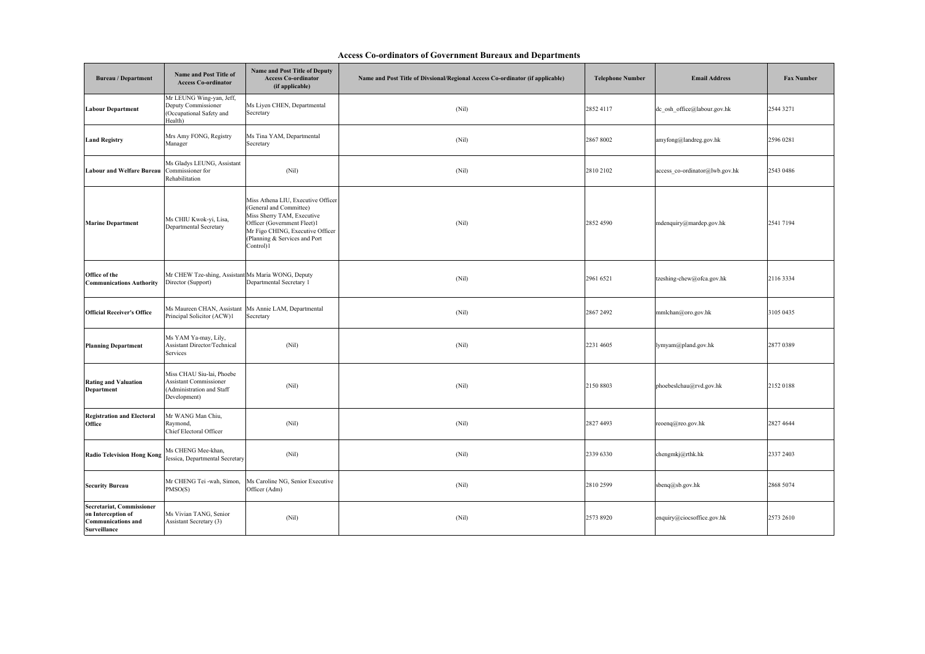## **Access Co-ordinators of Government Bureaux and Departments**

| <b>Bureau</b> / Department                                                                   | Name and Post Title of<br><b>Access Co-ordinator</b>                                                    | Name and Post Title of Deputy<br><b>Access Co-ordinator</b><br>(if applicable)                                                                                                                               | Name and Post Title of Divsional/Regional Access Co-ordinator (if applicable) | <b>Telephone Number</b> | <b>Email Address</b>           | <b>Fax Number</b> |
|----------------------------------------------------------------------------------------------|---------------------------------------------------------------------------------------------------------|--------------------------------------------------------------------------------------------------------------------------------------------------------------------------------------------------------------|-------------------------------------------------------------------------------|-------------------------|--------------------------------|-------------------|
| <b>Labour Department</b>                                                                     | Mr LEUNG Wing-yan, Jeff,<br>Deputy Commissioner<br>(Occupational Safety and<br>Health)                  | Ms Liyen CHEN, Departmental<br>Secretary                                                                                                                                                                     | (Nil)                                                                         | 28524117                | dc_osh_office@labour.gov.hk    | 2544 3271         |
| <b>Land Registry</b>                                                                         | Mrs Amy FONG, Registry<br>Manager                                                                       | Ms Tina YAM, Departmental<br>Secretary                                                                                                                                                                       | (Nil)                                                                         | 2867 8002               | amyfong@landreg.gov.hk         | 2596 0281         |
| <b>Labour and Welfare Bureau</b>                                                             | Ms Gladys LEUNG, Assistant<br>Commissioner for<br>Rehabilitation                                        | (Nil)                                                                                                                                                                                                        | (Nil)                                                                         | 2810 2102               | access_co-ordinator@lwb.gov.hk | 2543 0486         |
| <b>Marine Department</b>                                                                     | Ms CHIU Kwok-yi, Lisa,<br><b>Departmental Secretary</b>                                                 | Miss Athena LIU, Executive Officer<br>(General and Committee)<br>Miss Sherry TAM, Executive<br>Officer (Government Fleet)1<br>Mr Figo CHING, Executive Officer<br>(Planning & Services and Port<br>Control)1 | (Nil)                                                                         | 2852 4590               | mdenquiry@mardep.gov.hk        | 2541 7194         |
| Office of the<br><b>Communications Authority</b>                                             | Mr CHEW Tze-shing, Assistant Ms Maria WONG, Deputy<br>Director (Support)                                | Departmental Secretary 1                                                                                                                                                                                     | (Nil)                                                                         | 2961 6521               | tzeshing-chew@ofca.gov.hk      | 2116 3334         |
| <b>Official Receiver's Office</b>                                                            | Ms Maureen CHAN, Assistant<br>Principal Solicitor (ACW)1                                                | Ms Annie LAM, Departmental<br>Secretary                                                                                                                                                                      | (Nil)                                                                         | 2867 2492               | mmlchan@oro.gov.hk             | 3105 0435         |
| <b>Planning Department</b>                                                                   | Ms YAM Ya-may, Lily,<br>Assistant Director/Technical<br>Services                                        | (Nil)                                                                                                                                                                                                        | (Nil)                                                                         | 2231 4605               | lymyam@pland.gov.hk            | 2877 0389         |
| <b>Rating and Valuation</b><br>Department                                                    | Miss CHAU Siu-lai, Phoebe<br><b>Assistant Commissioner</b><br>(Administration and Staff<br>Development) | (Nil)                                                                                                                                                                                                        | (Nil)                                                                         | 2150 8803               | phoebeslchau@rvd.gov.hk        | 2152 0188         |
| <b>Registration and Electoral</b><br>Office                                                  | Mr WANG Man Chiu,<br>Raymond,<br>Chief Electoral Officer                                                | (Nil)                                                                                                                                                                                                        | (Nil)                                                                         | 2827 4493               | reoenq@reo.gov.hk              | 2827 4644         |
| <b>Radio Television Hong Kong</b>                                                            | Ms CHENG Mee-khan,<br>Jessica, Departmental Secretary                                                   | (Nil)                                                                                                                                                                                                        | (Nil)                                                                         | 2339 6330               | chengmkj@rthk.hk               | 2337 2403         |
| <b>Security Bureau</b>                                                                       | Mr CHENG Tei -wah, Simon,<br>PMSO(S)                                                                    | Ms Caroline NG, Senior Executive<br>Officer (Adm)                                                                                                                                                            | (Nil)                                                                         | 2810 2599               | sbenq@sb.gov.hk                | 2868 5074         |
| Secretariat, Commissioner<br>on Interception of<br><b>Communications and</b><br>Surveillance | Ms Vivian TANG, Senior<br>Assistant Secretary (3)                                                       | (Nil)                                                                                                                                                                                                        | (Nil)                                                                         | 2573 8920               | enquiry@ciocsoffice.gov.hk     | 2573 2610         |